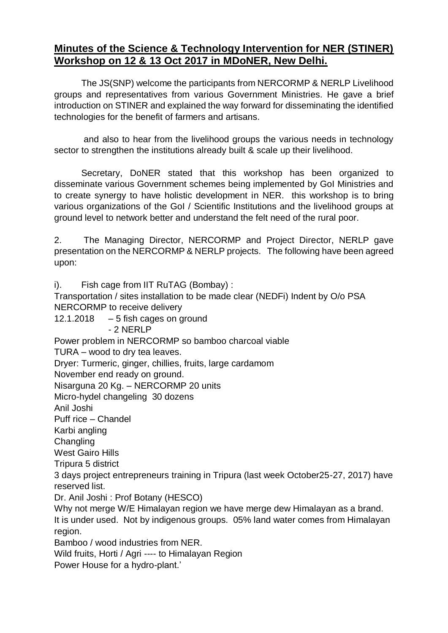## **Minutes of the Science & Technology Intervention for NER (STINER) Workshop on 12 & 13 Oct 2017 in MDoNER, New Delhi.**

The JS(SNP) welcome the participants from NERCORMP & NERLP Livelihood groups and representatives from various Government Ministries. He gave a brief introduction on STINER and explained the way forward for disseminating the identified technologies for the benefit of farmers and artisans.

and also to hear from the livelihood groups the various needs in technology sector to strengthen the institutions already built & scale up their livelihood.

Secretary, DoNER stated that this workshop has been organized to disseminate various Government schemes being implemented by GoI Ministries and to create synergy to have holistic development in NER. this workshop is to bring various organizations of the GoI / Scientific Institutions and the livelihood groups at ground level to network better and understand the felt need of the rural poor.

2. The Managing Director, NERCORMP and Project Director, NERLP gave presentation on the NERCORMP & NERLP projects. The following have been agreed upon:

i). Fish cage from IIT RuTAG (Bombay) : Transportation / sites installation to be made clear (NEDFi) Indent by O/o PSA NERCORMP to receive delivery 12.1.2018  $-5$  fish cages on ground - 2 NERLP Power problem in NERCORMP so bamboo charcoal viable TURA – wood to dry tea leaves. Dryer: Turmeric, ginger, chillies, fruits, large cardamom November end ready on ground. Nisarguna 20 Kg. – NERCORMP 20 units Micro-hydel changeling 30 dozens Anil Joshi Puff rice – Chandel Karbi angling **Changling** West Gairo Hills Tripura 5 district 3 days project entrepreneurs training in Tripura (last week October25-27, 2017) have reserved list. Dr. Anil Joshi : Prof Botany (HESCO) Why not merge W/E Himalayan region we have merge dew Himalayan as a brand. It is under used. Not by indigenous groups. 05% land water comes from Himalayan region. Bamboo / wood industries from NER. Wild fruits, Horti / Agri ---- to Himalayan Region Power House for a hydro-plant.'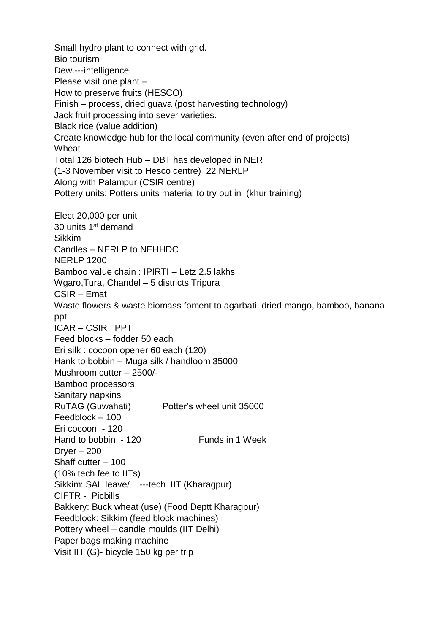Small hydro plant to connect with grid. Bio tourism Dew.---intelligence Please visit one plant – How to preserve fruits (HESCO) Finish – process, dried guava (post harvesting technology) Jack fruit processing into sever varieties. Black rice (value addition) Create knowledge hub for the local community (even after end of projects) **Wheat** Total 126 biotech Hub – DBT has developed in NER (1-3 November visit to Hesco centre) 22 NERLP Along with Palampur (CSIR centre) Pottery units: Potters units material to try out in (khur training) Elect 20,000 per unit 30 units 1st demand Sikkim Candles – NERLP to NEHHDC NERLP 1200 Bamboo value chain : IPIRTI – Letz 2.5 lakhs Wgaro,Tura, Chandel – 5 districts Tripura CSIR – Emat Waste flowers & waste biomass foment to agarbati, dried mango, bamboo, banana ppt ICAR – CSIR PPT Feed blocks – fodder 50 each Eri silk : cocoon opener 60 each (120) Hank to bobbin – Muga silk / handloom 35000 Mushroom cutter – 2500/- Bamboo processors Sanitary napkins RuTAG (Guwahati) Potter's wheel unit 35000 Feedblock – 100 Eri cocoon - 120 Hand to bobbin - 120 Funds in 1 Week  $Dryer - 200$ Shaff cutter – 100 (10% tech fee to IITs) Sikkim: SAL leave/ ---tech IIT (Kharagpur) CIFTR - Picbills Bakkery: Buck wheat (use) (Food Deptt Kharagpur) Feedblock: Sikkim (feed block machines) Pottery wheel – candle moulds (IIT Delhi) Paper bags making machine Visit IIT (G)- bicycle 150 kg per trip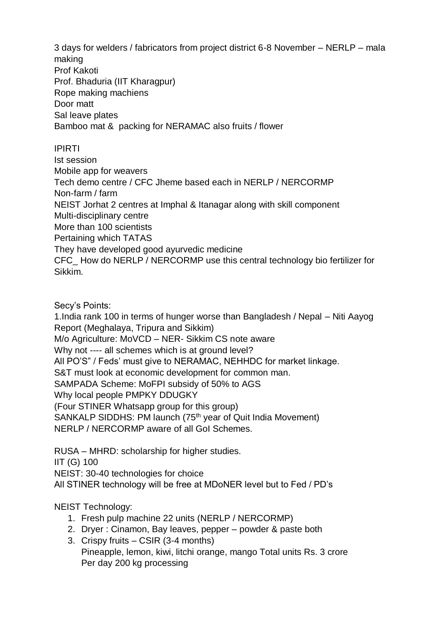3 days for welders / fabricators from project district 6-8 November – NERLP – mala making Prof Kakoti Prof. Bhaduria (IIT Kharagpur) Rope making machiens Door matt Sal leave plates Bamboo mat & packing for NERAMAC also fruits / flower

## IPIRTI

Ist session Mobile app for weavers Tech demo centre / CFC Jheme based each in NERLP / NERCORMP Non-farm / farm NEIST Jorhat 2 centres at Imphal & Itanagar along with skill component Multi-disciplinary centre More than 100 scientists Pertaining which TATAS They have developed good ayurvedic medicine CFC\_ How do NERLP / NERCORMP use this central technology bio fertilizer for Sikkim.

Secy's Points:

1.India rank 100 in terms of hunger worse than Bangladesh / Nepal – Niti Aayog Report (Meghalaya, Tripura and Sikkim) M/o Agriculture: MoVCD – NER- Sikkim CS note aware Why not ---- all schemes which is at ground level? All PO'S" / Feds' must give to NERAMAC, NEHHDC for market linkage. S&T must look at economic development for common man. SAMPADA Scheme: MoFPI subsidy of 50% to AGS Why local people PMPKY DDUGKY (Four STINER Whatsapp group for this group) SANKALP SIDDHS: PM launch (75<sup>th</sup> year of Quit India Movement) NERLP / NERCORMP aware of all GoI Schemes.

RUSA – MHRD: scholarship for higher studies. IIT (G) 100 NEIST: 30-40 technologies for choice All STINER technology will be free at MDoNER level but to Fed / PD's

NEIST Technology:

- 1. Fresh pulp machine 22 units (NERLP / NERCORMP)
- 2. Dryer : Cinamon, Bay leaves, pepper powder & paste both
- 3. Crispy fruits CSIR (3-4 months) Pineapple, lemon, kiwi, litchi orange, mango Total units Rs. 3 crore Per day 200 kg processing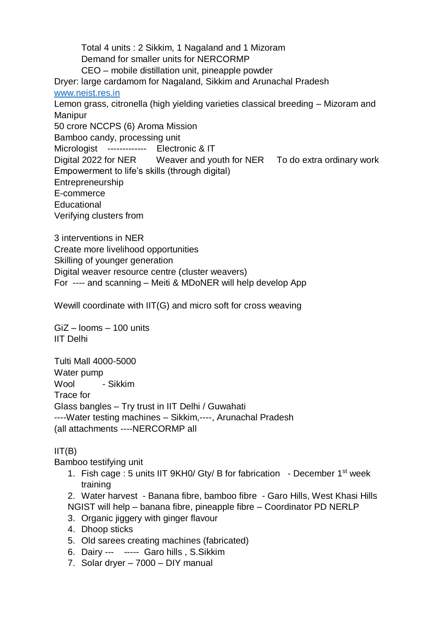Total 4 units : 2 Sikkim, 1 Nagaland and 1 Mizoram Demand for smaller units for NERCORMP CEO – mobile distillation unit, pineapple powder Dryer: large cardamom for Nagaland, Sikkim and Arunachal Pradesh [www.neist.res.in](http://www.neist.res.in/) Lemon grass, citronella (high yielding varieties classical breeding – Mizoram and Manipur 50 crore NCCPS (6) Aroma Mission Bamboo candy, processing unit Micrologist ------------- Electronic & IT Digital 2022 for NER Weaver and youth for NER To do extra ordinary work Empowerment to life's skills (through digital) Entrepreneurship E-commerce **Educational** Verifying clusters from

3 interventions in NER Create more livelihood opportunities Skilling of younger generation Digital weaver resource centre (cluster weavers) For ---- and scanning – Meiti & MDoNER will help develop App

Wewill coordinate with IIT(G) and micro soft for cross weaving

GiZ – looms – 100 units IIT Delhi

Tulti Mall 4000-5000 Water pump Wool - Sikkim Trace for Glass bangles – Try trust in IIT Delhi / Guwahati ----Water testing machines – Sikkim,----, Arunachal Pradesh (all attachments ----NERCORMP all

## $IIT(B)$

Bamboo testifying unit

1. Fish cage : 5 units IIT 9KH0/ Gtv/ B for fabrication - December 1<sup>st</sup> week training

2. Water harvest - Banana fibre, bamboo fibre - Garo Hills, West Khasi Hills NGIST will help – banana fibre, pineapple fibre – Coordinator PD NERLP

- 3. Organic jiggery with ginger flavour
- 4. Dhoop sticks
- 5. Old sarees creating machines (fabricated)
- 6. Dairy --- ----- Garo hills , S.Sikkim
- 7. Solar dryer 7000 DIY manual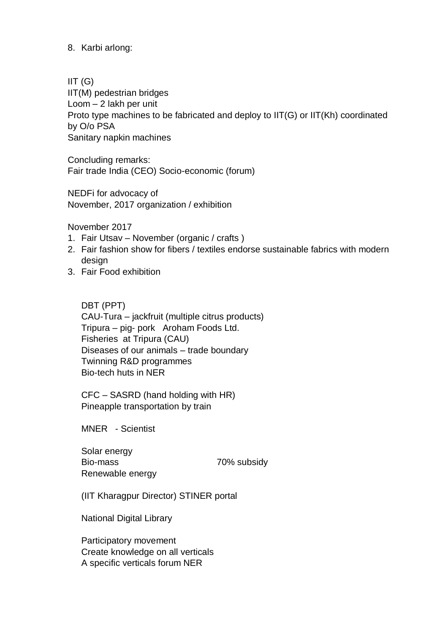8. Karbi arlong:

 $IIT(G)$ IIT(M) pedestrian bridges Loom – 2 lakh per unit Proto type machines to be fabricated and deploy to IIT(G) or IIT(Kh) coordinated by O/o PSA Sanitary napkin machines

Concluding remarks: Fair trade India (CEO) Socio-economic (forum)

NEDFi for advocacy of November, 2017 organization / exhibition

November 2017

- 1. Fair Utsav November (organic / crafts )
- 2. Fair fashion show for fibers / textiles endorse sustainable fabrics with modern design
- 3. Fair Food exhibition

DBT (PPT)

CAU-Tura – jackfruit (multiple citrus products) Tripura – pig- pork Aroham Foods Ltd. Fisheries at Tripura (CAU) Diseases of our animals – trade boundary Twinning R&D programmes Bio-tech huts in NER

CFC – SASRD (hand holding with HR) Pineapple transportation by train

MNER - Scientist

Solar energy Bio-mass 70% subsidy Renewable energy

(IIT Kharagpur Director) STINER portal

National Digital Library

Participatory movement Create knowledge on all verticals A specific verticals forum NER